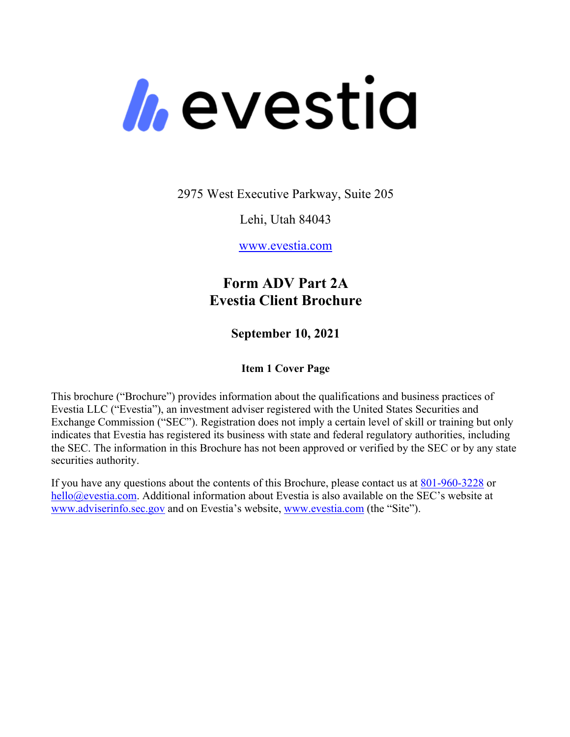*h*evestia

2975 West Executive Parkway, Suite 205

Lehi, Utah 84043

www.evestia.com

# **Form ADV Part 2A Evestia Client Brochure**

**September 10, 2021**

# **Item 1 Cover Page**

This brochure ("Brochure") provides information about the qualifications and business practices of Evestia LLC ("Evestia"), an investment adviser registered with the United States Securities and Exchange Commission ("SEC"). Registration does not imply a certain level of skill or training but only indicates that Evestia has registered its business with state and federal regulatory authorities, including the SEC. The information in this Brochure has not been approved or verified by the SEC or by any state securities authority.

If you have any questions about the contents of this Brochure, please contact us at 801-960-3228 or hello@evestia.com. Additional information about Evestia is also available on the SEC's website at www.adviserinfo.sec.gov and on Evestia's website, www.evestia.com (the "Site").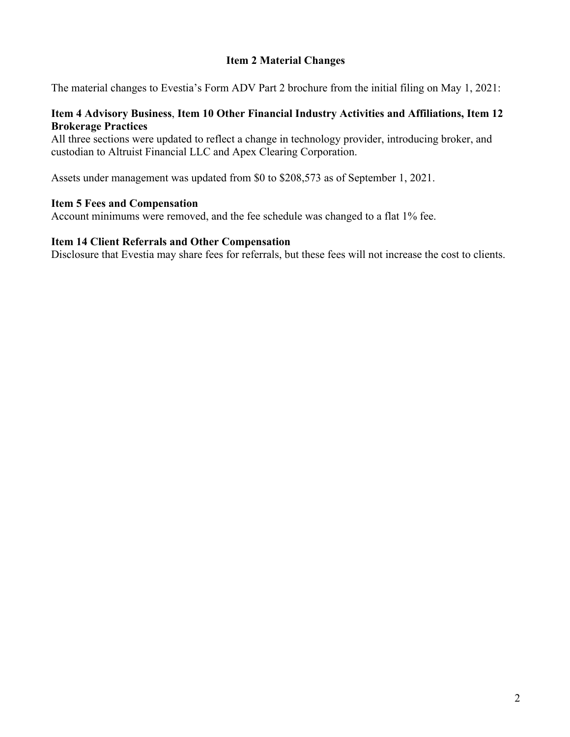# **Item 2 Material Changes**

The material changes to Evestia's Form ADV Part 2 brochure from the initial filing on May 1, 2021:

## **Item 4 Advisory Business**, **Item 10 Other Financial Industry Activities and Affiliations, Item 12 Brokerage Practices**

All three sections were updated to reflect a change in technology provider, introducing broker, and custodian to Altruist Financial LLC and Apex Clearing Corporation.

Assets under management was updated from \$0 to \$208,573 as of September 1, 2021.

#### **Item 5 Fees and Compensation**

Account minimums were removed, and the fee schedule was changed to a flat 1% fee.

## **Item 14 Client Referrals and Other Compensation**

Disclosure that Evestia may share fees for referrals, but these fees will not increase the cost to clients.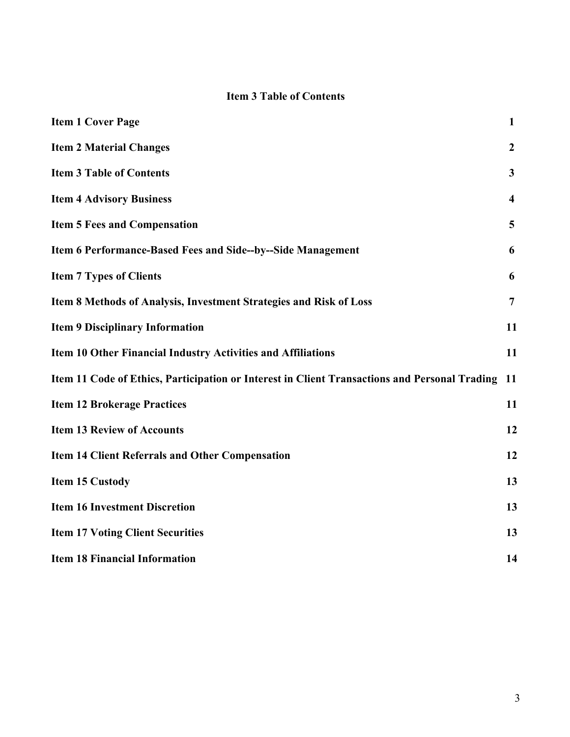# **Item 3 Table of Contents**

| <b>Item 1 Cover Page</b>                                                                      | $\mathbf{1}$            |
|-----------------------------------------------------------------------------------------------|-------------------------|
| <b>Item 2 Material Changes</b>                                                                | $\boldsymbol{2}$        |
| <b>Item 3 Table of Contents</b>                                                               | $\mathbf{3}$            |
| <b>Item 4 Advisory Business</b>                                                               | $\overline{\mathbf{4}}$ |
| <b>Item 5 Fees and Compensation</b>                                                           | 5                       |
| Item 6 Performance-Based Fees and Side--by--Side Management                                   | 6                       |
| <b>Item 7 Types of Clients</b>                                                                | 6                       |
| Item 8 Methods of Analysis, Investment Strategies and Risk of Loss                            | 7                       |
| <b>Item 9 Disciplinary Information</b>                                                        | 11                      |
| Item 10 Other Financial Industry Activities and Affiliations                                  | 11                      |
| Item 11 Code of Ethics, Participation or Interest in Client Transactions and Personal Trading | -11                     |
| <b>Item 12 Brokerage Practices</b>                                                            | 11                      |
| <b>Item 13 Review of Accounts</b>                                                             | 12                      |
| <b>Item 14 Client Referrals and Other Compensation</b>                                        | 12                      |
| <b>Item 15 Custody</b>                                                                        | 13                      |
| <b>Item 16 Investment Discretion</b>                                                          | 13                      |
| <b>Item 17 Voting Client Securities</b>                                                       | 13                      |
| <b>Item 18 Financial Information</b>                                                          | 14                      |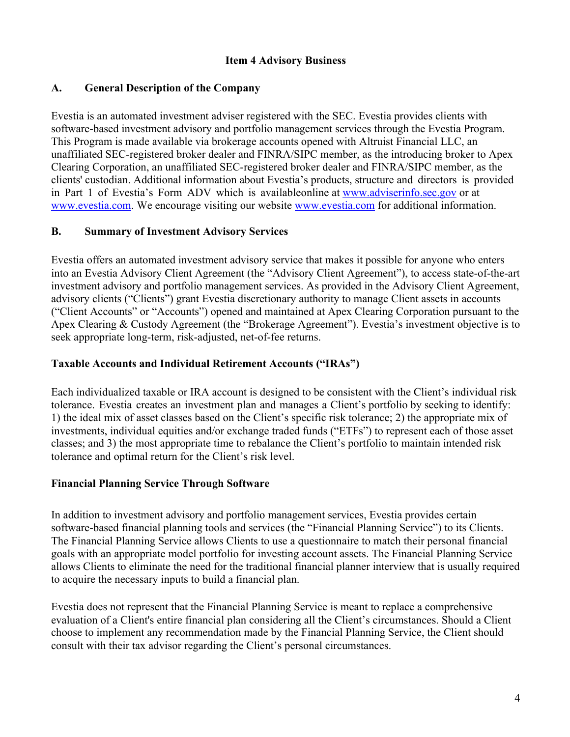# **Item 4 Advisory Business**

# **A. General Description of the Company**

Evestia is an automated investment adviser registered with the SEC. Evestia provides clients with software-based investment advisory and portfolio management services through the Evestia Program. This Program is made available via brokerage accounts opened with Altruist Financial LLC, an unaffiliated SEC-registered broker dealer and FINRA/SIPC member, as the introducing broker to Apex Clearing Corporation, an unaffiliated SEC-registered broker dealer and FINRA/SIPC member, as the clients' custodian. Additional information about Evestia's products, structure and directors is provided in Part 1 of Evestia's Form ADV which is availableonline at www.adviserinfo.sec.gov or at www.evestia.com. We encourage visiting our website www.evestia.com for additional information.

# **B. Summary of Investment Advisory Services**

Evestia offers an automated investment advisory service that makes it possible for anyone who enters into an Evestia Advisory Client Agreement (the "Advisory Client Agreement"), to access state-of-the-art investment advisory and portfolio management services. As provided in the Advisory Client Agreement, advisory clients ("Clients") grant Evestia discretionary authority to manage Client assets in accounts ("Client Accounts" or "Accounts") opened and maintained at Apex Clearing Corporation pursuant to the Apex Clearing & Custody Agreement (the "Brokerage Agreement"). Evestia's investment objective is to seek appropriate long-term, risk-adjusted, net-of-fee returns.

# **Taxable Accounts and Individual Retirement Accounts ("IRAs")**

Each individualized taxable or IRA account is designed to be consistent with the Client's individual risk tolerance. Evestia creates an investment plan and manages a Client's portfolio by seeking to identify: 1) the ideal mix of asset classes based on the Client's specific risk tolerance; 2) the appropriate mix of investments, individual equities and/or exchange traded funds ("ETFs") to represent each of those asset classes; and 3) the most appropriate time to rebalance the Client's portfolio to maintain intended risk tolerance and optimal return for the Client's risk level.

# **Financial Planning Service Through Software**

In addition to investment advisory and portfolio management services, Evestia provides certain software-based financial planning tools and services (the "Financial Planning Service") to its Clients. The Financial Planning Service allows Clients to use a questionnaire to match their personal financial goals with an appropriate model portfolio for investing account assets. The Financial Planning Service allows Clients to eliminate the need for the traditional financial planner interview that is usually required to acquire the necessary inputs to build a financial plan.

Evestia does not represent that the Financial Planning Service is meant to replace a comprehensive evaluation of a Client's entire financial plan considering all the Client's circumstances. Should a Client choose to implement any recommendation made by the Financial Planning Service, the Client should consult with their tax advisor regarding the Client's personal circumstances.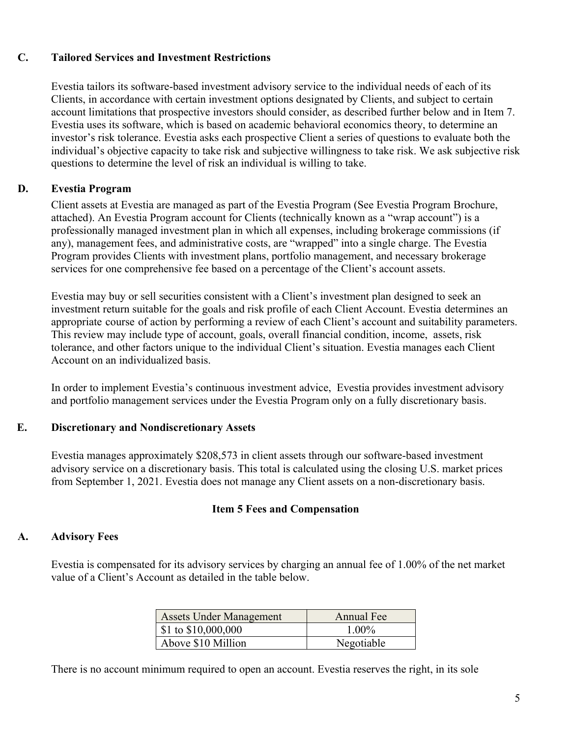# **C. Tailored Services and Investment Restrictions**

Evestia tailors its software-based investment advisory service to the individual needs of each of its Clients, in accordance with certain investment options designated by Clients, and subject to certain account limitations that prospective investors should consider, as described further below and in Item 7. Evestia uses its software, which is based on academic behavioral economics theory, to determine an investor's risk tolerance. Evestia asks each prospective Client a series of questions to evaluate both the individual's objective capacity to take risk and subjective willingness to take risk. We ask subjective risk questions to determine the level of risk an individual is willing to take.

# **D. Evestia Program**

Client assets at Evestia are managed as part of the Evestia Program (See Evestia Program Brochure, attached). An Evestia Program account for Clients (technically known as a "wrap account") is a professionally managed investment plan in which all expenses, including brokerage commissions (if any), management fees, and administrative costs, are "wrapped" into a single charge. The Evestia Program provides Clients with investment plans, portfolio management, and necessary brokerage services for one comprehensive fee based on a percentage of the Client's account assets.

Evestia may buy or sell securities consistent with a Client's investment plan designed to seek an investment return suitable for the goals and risk profile of each Client Account. Evestia determines an appropriate course of action by performing a review of each Client's account and suitability parameters. This review may include type of account, goals, overall financial condition, income, assets, risk tolerance, and other factors unique to the individual Client's situation. Evestia manages each Client Account on an individualized basis.

In order to implement Evestia's continuous investment advice, Evestia provides investment advisory and portfolio management services under the Evestia Program only on a fully discretionary basis.

# **E. Discretionary and Nondiscretionary Assets**

Evestia manages approximately \$208,573 in client assets through our software-based investment advisory service on a discretionary basis. This total is calculated using the closing U.S. market prices from September 1, 2021. Evestia does not manage any Client assets on a non-discretionary basis.

# **Item 5 Fees and Compensation**

# **A. Advisory Fees**

Evestia is compensated for its advisory services by charging an annual fee of 1.00% of the net market value of a Client's Account as detailed in the table below.

| <b>Assets Under Management</b>  | Annual Fee |
|---------------------------------|------------|
| $\$\,1\text{ to } \$10,000,000$ | $1.00\%$   |
| Above \$10 Million              | Negotiable |

There is no account minimum required to open an account. Evestia reserves the right, in its sole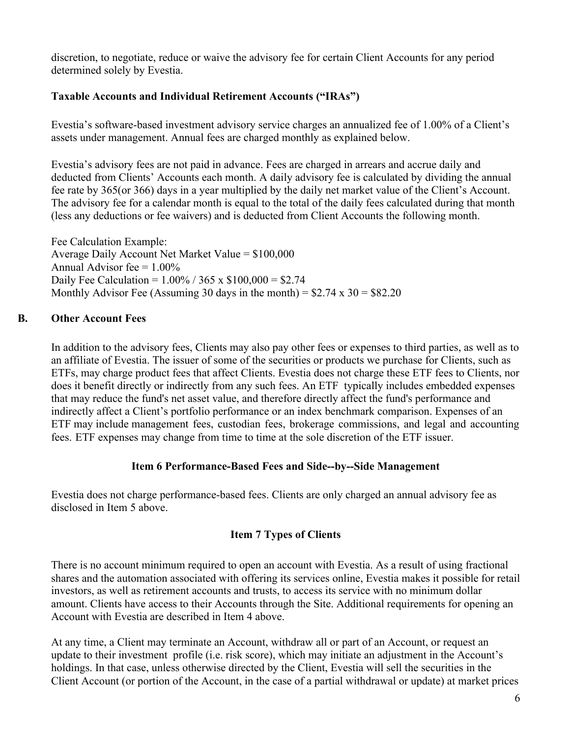discretion, to negotiate, reduce or waive the advisory fee for certain Client Accounts for any period determined solely by Evestia.

# **Taxable Accounts and Individual Retirement Accounts ("IRAs")**

Evestia's software-based investment advisory service charges an annualized fee of 1.00% of a Client's assets under management. Annual fees are charged monthly as explained below.

Evestia's advisory fees are not paid in advance. Fees are charged in arrears and accrue daily and deducted from Clients' Accounts each month. A daily advisory fee is calculated by dividing the annual fee rate by 365(or 366) days in a year multiplied by the daily net market value of the Client's Account. The advisory fee for a calendar month is equal to the total of the daily fees calculated during that month (less any deductions or fee waivers) and is deducted from Client Accounts the following month.

Fee Calculation Example: Average Daily Account Net Market Value  $= $100,000$ Annual Advisor fee  $= 1.00\%$ Daily Fee Calculation =  $1.00\%$  / 365 x \$100,000 = \$2.74 Monthly Advisor Fee (Assuming 30 days in the month) =  $$2.74 \times 30 = $82.20$ 

# **B. Other Account Fees**

In addition to the advisory fees, Clients may also pay other fees or expenses to third parties, as well as to an affiliate of Evestia. The issuer of some of the securities or products we purchase for Clients, such as ETFs, may charge product fees that affect Clients. Evestia does not charge these ETF fees to Clients, nor does it benefit directly or indirectly from any such fees. An ETF typically includes embedded expenses that may reduce the fund's net asset value, and therefore directly affect the fund's performance and indirectly affect a Client's portfolio performance or an index benchmark comparison. Expenses of an ETF may include management fees, custodian fees, brokerage commissions, and legal and accounting fees. ETF expenses may change from time to time at the sole discretion of the ETF issuer.

# **Item 6 Performance-Based Fees and Side--by--Side Management**

Evestia does not charge performance-based fees. Clients are only charged an annual advisory fee as disclosed in Item 5 above.

# **Item 7 Types of Clients**

There is no account minimum required to open an account with Evestia. As a result of using fractional shares and the automation associated with offering its services online, Evestia makes it possible for retail investors, as well as retirement accounts and trusts, to access its service with no minimum dollar amount. Clients have access to their Accounts through the Site. Additional requirements for opening an Account with Evestia are described in Item 4 above.

At any time, a Client may terminate an Account, withdraw all or part of an Account, or request an update to their investment profile (i.e. risk score), which may initiate an adjustment in the Account's holdings. In that case, unless otherwise directed by the Client, Evestia will sell the securities in the Client Account (or portion of the Account, in the case of a partial withdrawal or update) at market prices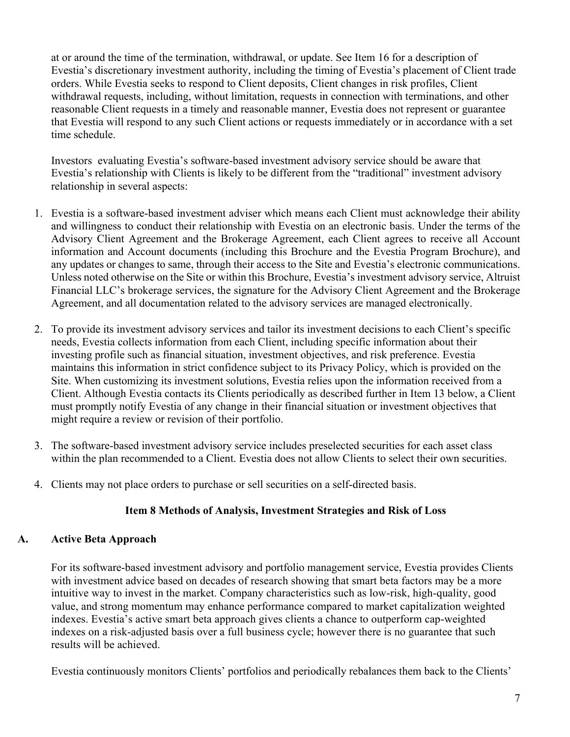at or around the time of the termination, withdrawal, or update. See Item 16 for a description of Evestia's discretionary investment authority, including the timing of Evestia's placement of Client trade orders. While Evestia seeks to respond to Client deposits, Client changes in risk profiles, Client withdrawal requests, including, without limitation, requests in connection with terminations, and other reasonable Client requests in a timely and reasonable manner, Evestia does not represent or guarantee that Evestia will respond to any such Client actions or requests immediately or in accordance with a set time schedule.

Investors evaluating Evestia's software-based investment advisory service should be aware that Evestia's relationship with Clients is likely to be different from the "traditional" investment advisory relationship in several aspects:

- 1. Evestia is a software-based investment adviser which means each Client must acknowledge their ability and willingness to conduct their relationship with Evestia on an electronic basis. Under the terms of the Advisory Client Agreement and the Brokerage Agreement, each Client agrees to receive all Account information and Account documents (including this Brochure and the Evestia Program Brochure), and any updates or changes to same, through their access to the Site and Evestia's electronic communications. Unless noted otherwise on the Site or within this Brochure, Evestia's investment advisory service, Altruist Financial LLC's brokerage services, the signature for the Advisory Client Agreement and the Brokerage Agreement, and all documentation related to the advisory services are managed electronically.
- 2. To provide its investment advisory services and tailor its investment decisions to each Client's specific needs, Evestia collects information from each Client, including specific information about their investing profile such as financial situation, investment objectives, and risk preference. Evestia maintains this information in strict confidence subject to its Privacy Policy, which is provided on the Site. When customizing its investment solutions, Evestia relies upon the information received from a Client. Although Evestia contacts its Clients periodically as described further in Item 13 below, a Client must promptly notify Evestia of any change in their financial situation or investment objectives that might require a review or revision of their portfolio.
- 3. The software-based investment advisory service includes preselected securities for each asset class within the plan recommended to a Client. Evestia does not allow Clients to select their own securities.
- 4. Clients may not place orders to purchase or sell securities on a self-directed basis.

## **Item 8 Methods of Analysis, Investment Strategies and Risk of Loss**

## **A. Active Beta Approach**

For its software-based investment advisory and portfolio management service, Evestia provides Clients with investment advice based on decades of research showing that smart beta factors may be a more intuitive way to invest in the market. Company characteristics such as low-risk, high-quality, good value, and strong momentum may enhance performance compared to market capitalization weighted indexes. Evestia's active smart beta approach gives clients a chance to outperform cap-weighted indexes on a risk-adjusted basis over a full business cycle; however there is no guarantee that such results will be achieved.

Evestia continuously monitors Clients' portfolios and periodically rebalances them back to the Clients'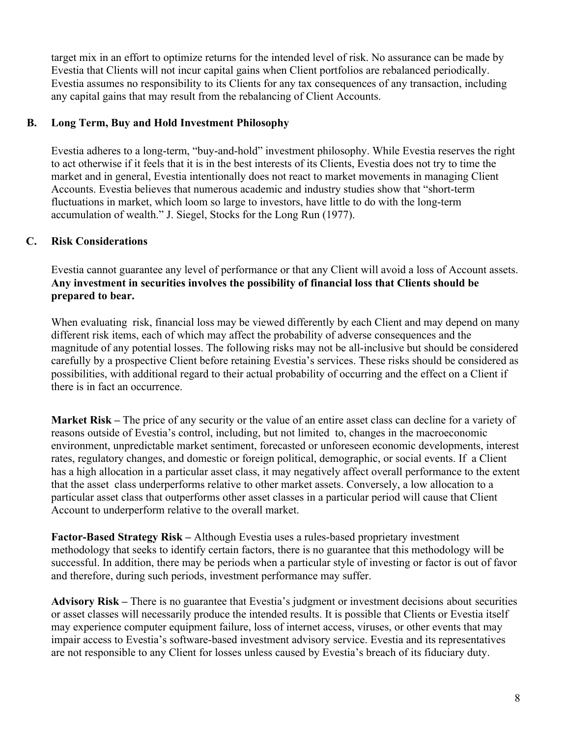target mix in an effort to optimize returns for the intended level of risk. No assurance can be made by Evestia that Clients will not incur capital gains when Client portfolios are rebalanced periodically. Evestia assumes no responsibility to its Clients for any tax consequences of any transaction, including any capital gains that may result from the rebalancing of Client Accounts.

# **B. Long Term, Buy and Hold Investment Philosophy**

Evestia adheres to a long-term, "buy-and-hold" investment philosophy. While Evestia reserves the right to act otherwise if it feels that it is in the best interests of its Clients, Evestia does not try to time the market and in general, Evestia intentionally does not react to market movements in managing Client Accounts. Evestia believes that numerous academic and industry studies show that "short-term fluctuations in market, which loom so large to investors, have little to do with the long-term accumulation of wealth." J. Siegel, Stocks for the Long Run (1977).

# **C. Risk Considerations**

Evestia cannot guarantee any level of performance or that any Client will avoid a loss of Account assets. **Any investment in securities involves the possibility of financial loss that Clients should be prepared to bear.**

When evaluating risk, financial loss may be viewed differently by each Client and may depend on many different risk items, each of which may affect the probability of adverse consequences and the magnitude of any potential losses. The following risks may not be all-inclusive but should be considered carefully by a prospective Client before retaining Evestia's services. These risks should be considered as possibilities, with additional regard to their actual probability of occurring and the effect on a Client if there is in fact an occurrence.

**Market Risk –** The price of any security or the value of an entire asset class can decline for a variety of reasons outside of Evestia's control, including, but not limited to, changes in the macroeconomic environment, unpredictable market sentiment, forecasted or unforeseen economic developments, interest rates, regulatory changes, and domestic or foreign political, demographic, or social events. If a Client has a high allocation in a particular asset class, it may negatively affect overall performance to the extent that the asset class underperforms relative to other market assets. Conversely, a low allocation to a particular asset class that outperforms other asset classes in a particular period will cause that Client Account to underperform relative to the overall market.

**Factor-Based Strategy Risk –** Although Evestia uses a rules-based proprietary investment methodology that seeks to identify certain factors, there is no guarantee that this methodology will be successful. In addition, there may be periods when a particular style of investing or factor is out of favor and therefore, during such periods, investment performance may suffer.

**Advisory Risk –** There is no guarantee that Evestia's judgment or investment decisions about securities or asset classes will necessarily produce the intended results. It is possible that Clients or Evestia itself may experience computer equipment failure, loss of internet access, viruses, or other events that may impair access to Evestia's software-based investment advisory service. Evestia and its representatives are not responsible to any Client for losses unless caused by Evestia's breach of its fiduciary duty.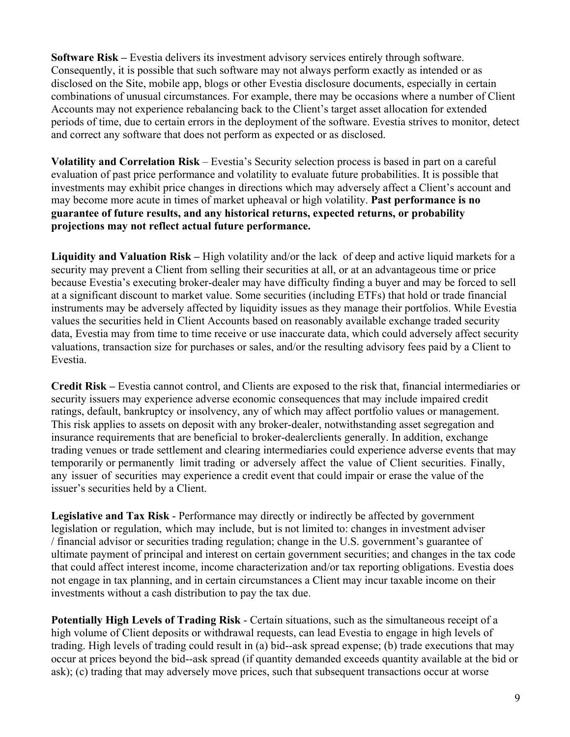**Software Risk –** Evestia delivers its investment advisory services entirely through software. Consequently, it is possible that such software may not always perform exactly as intended or as disclosed on the Site, mobile app, blogs or other Evestia disclosure documents, especially in certain combinations of unusual circumstances. For example, there may be occasions where a number of Client Accounts may not experience rebalancing back to the Client's target asset allocation for extended periods of time, due to certain errors in the deployment of the software. Evestia strives to monitor, detect and correct any software that does not perform as expected or as disclosed.

**Volatility and Correlation Risk** – Evestia's Security selection process is based in part on a careful evaluation of past price performance and volatility to evaluate future probabilities. It is possible that investments may exhibit price changes in directions which may adversely affect a Client's account and may become more acute in times of market upheaval or high volatility. **Past performance is no guarantee of future results, and any historical returns, expected returns, or probability projections may not reflect actual future performance.**

**Liquidity and Valuation Risk –** High volatility and/or the lack of deep and active liquid markets for a security may prevent a Client from selling their securities at all, or at an advantageous time or price because Evestia's executing broker-dealer may have difficulty finding a buyer and may be forced to sell at a significant discount to market value. Some securities (including ETFs) that hold or trade financial instruments may be adversely affected by liquidity issues as they manage their portfolios. While Evestia values the securities held in Client Accounts based on reasonably available exchange traded security data, Evestia may from time to time receive or use inaccurate data, which could adversely affect security valuations, transaction size for purchases or sales, and/or the resulting advisory fees paid by a Client to Evestia.

**Credit Risk –** Evestia cannot control, and Clients are exposed to the risk that, financial intermediaries or security issuers may experience adverse economic consequences that may include impaired credit ratings, default, bankruptcy or insolvency, any of which may affect portfolio values or management. This risk applies to assets on deposit with any broker-dealer, notwithstanding asset segregation and insurance requirements that are beneficial to broker-dealerclients generally. In addition, exchange trading venues or trade settlement and clearing intermediaries could experience adverse events that may temporarily or permanently limit trading or adversely affect the value of Client securities. Finally, any issuer of securities may experience a credit event that could impair or erase the value of the issuer's securities held by a Client.

**Legislative and Tax Risk** - Performance may directly or indirectly be affected by government legislation or regulation, which may include, but is not limited to: changes in investment adviser / financial advisor or securities trading regulation; change in the U.S. government's guarantee of ultimate payment of principal and interest on certain government securities; and changes in the tax code that could affect interest income, income characterization and/or tax reporting obligations. Evestia does not engage in tax planning, and in certain circumstances a Client may incur taxable income on their investments without a cash distribution to pay the tax due.

**Potentially High Levels of Trading Risk** - Certain situations, such as the simultaneous receipt of a high volume of Client deposits or withdrawal requests, can lead Evestia to engage in high levels of trading. High levels of trading could result in (a) bid--ask spread expense; (b) trade executions that may occur at prices beyond the bid--ask spread (if quantity demanded exceeds quantity available at the bid or ask); (c) trading that may adversely move prices, such that subsequent transactions occur at worse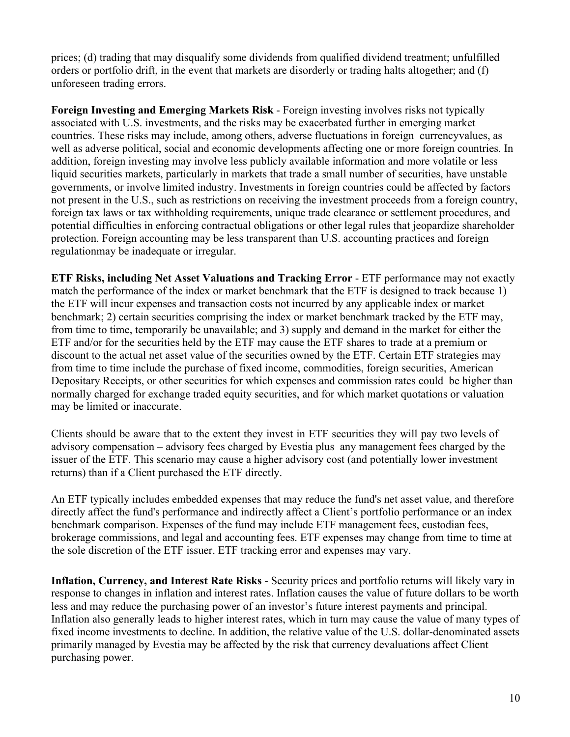prices; (d) trading that may disqualify some dividends from qualified dividend treatment; unfulfilled orders or portfolio drift, in the event that markets are disorderly or trading halts altogether; and (f) unforeseen trading errors.

**Foreign Investing and Emerging Markets Risk** - Foreign investing involves risks not typically associated with U.S. investments, and the risks may be exacerbated further in emerging market countries. These risks may include, among others, adverse fluctuations in foreign currencyvalues, as well as adverse political, social and economic developments affecting one or more foreign countries. In addition, foreign investing may involve less publicly available information and more volatile or less liquid securities markets, particularly in markets that trade a small number of securities, have unstable governments, or involve limited industry. Investments in foreign countries could be affected by factors not present in the U.S., such as restrictions on receiving the investment proceeds from a foreign country, foreign tax laws or tax withholding requirements, unique trade clearance or settlement procedures, and potential difficulties in enforcing contractual obligations or other legal rules that jeopardize shareholder protection. Foreign accounting may be less transparent than U.S. accounting practices and foreign regulationmay be inadequate or irregular.

**ETF Risks, including Net Asset Valuations and Tracking Error** - ETF performance may not exactly match the performance of the index or market benchmark that the ETF is designed to track because 1) the ETF will incur expenses and transaction costs not incurred by any applicable index or market benchmark; 2) certain securities comprising the index or market benchmark tracked by the ETF may, from time to time, temporarily be unavailable; and 3) supply and demand in the market for either the ETF and/or for the securities held by the ETF may cause the ETF shares to trade at a premium or discount to the actual net asset value of the securities owned by the ETF. Certain ETF strategies may from time to time include the purchase of fixed income, commodities, foreign securities, American Depositary Receipts, or other securities for which expenses and commission rates could be higher than normally charged for exchange traded equity securities, and for which market quotations or valuation may be limited or inaccurate.

Clients should be aware that to the extent they invest in ETF securities they will pay two levels of advisory compensation – advisory fees charged by Evestia plus any management fees charged by the issuer of the ETF. This scenario may cause a higher advisory cost (and potentially lower investment returns) than if a Client purchased the ETF directly.

An ETF typically includes embedded expenses that may reduce the fund's net asset value, and therefore directly affect the fund's performance and indirectly affect a Client's portfolio performance or an index benchmark comparison. Expenses of the fund may include ETF management fees, custodian fees, brokerage commissions, and legal and accounting fees. ETF expenses may change from time to time at the sole discretion of the ETF issuer. ETF tracking error and expenses may vary.

**Inflation, Currency, and Interest Rate Risks** - Security prices and portfolio returns will likely vary in response to changes in inflation and interest rates. Inflation causes the value of future dollars to be worth less and may reduce the purchasing power of an investor's future interest payments and principal. Inflation also generally leads to higher interest rates, which in turn may cause the value of many types of fixed income investments to decline. In addition, the relative value of the U.S. dollar-denominated assets primarily managed by Evestia may be affected by the risk that currency devaluations affect Client purchasing power.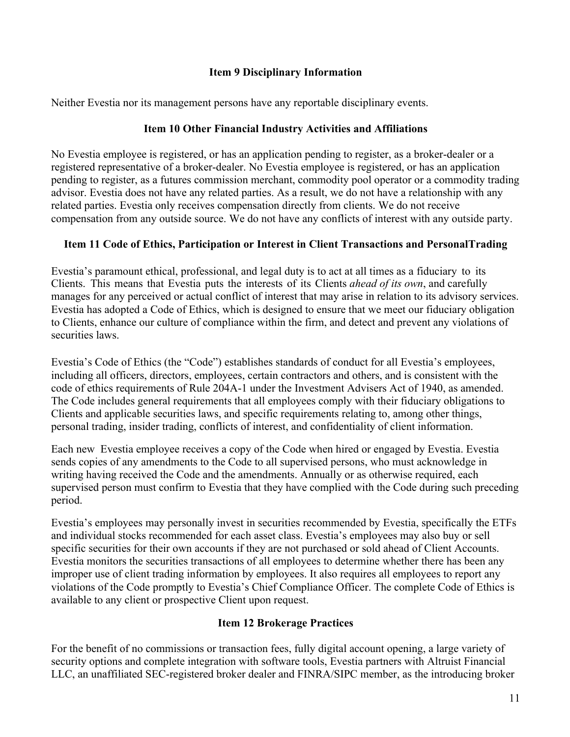# **Item 9 Disciplinary Information**

Neither Evestia nor its management persons have any reportable disciplinary events.

# **Item 10 Other Financial Industry Activities and Affiliations**

No Evestia employee is registered, or has an application pending to register, as a broker‐dealer or a registered representative of a broker‐dealer. No Evestia employee is registered, or has an application pending to register, as a futures commission merchant, commodity pool operator or a commodity trading advisor. Evestia does not have any related parties. As a result, we do not have a relationship with any related parties. Evestia only receives compensation directly from clients. We do not receive compensation from any outside source. We do not have any conflicts of interest with any outside party.

# **Item 11 Code of Ethics, Participation or Interest in Client Transactions and PersonalTrading**

Evestia's paramount ethical, professional, and legal duty is to act at all times as a fiduciary to its Clients. This means that Evestia puts the interests of its Clients *ahead of its own*, and carefully manages for any perceived or actual conflict of interest that may arise in relation to its advisory services. Evestia has adopted a Code of Ethics, which is designed to ensure that we meet our fiduciary obligation to Clients, enhance our culture of compliance within the firm, and detect and prevent any violations of securities laws.

Evestia's Code of Ethics (the "Code") establishes standards of conduct for all Evestia's employees, including all officers, directors, employees, certain contractors and others, and is consistent with the code of ethics requirements of Rule 204A-1 under the Investment Advisers Act of 1940, as amended. The Code includes general requirements that all employees comply with their fiduciary obligations to Clients and applicable securities laws, and specific requirements relating to, among other things, personal trading, insider trading, conflicts of interest, and confidentiality of client information.

Each new Evestia employee receives a copy of the Code when hired or engaged by Evestia. Evestia sends copies of any amendments to the Code to all supervised persons, who must acknowledge in writing having received the Code and the amendments. Annually or as otherwise required, each supervised person must confirm to Evestia that they have complied with the Code during such preceding period.

Evestia's employees may personally invest in securities recommended by Evestia, specifically the ETFs and individual stocks recommended for each asset class. Evestia's employees may also buy or sell specific securities for their own accounts if they are not purchased or sold ahead of Client Accounts. Evestia monitors the securities transactions of all employees to determine whether there has been any improper use of client trading information by employees. It also requires all employees to report any violations of the Code promptly to Evestia's Chief Compliance Officer. The complete Code of Ethics is available to any client or prospective Client upon request.

# **Item 12 Brokerage Practices**

For the benefit of no commissions or transaction fees, fully digital account opening, a large variety of security options and complete integration with software tools, Evestia partners with Altruist Financial LLC, an unaffiliated SEC-registered broker dealer and FINRA/SIPC member, as the introducing broker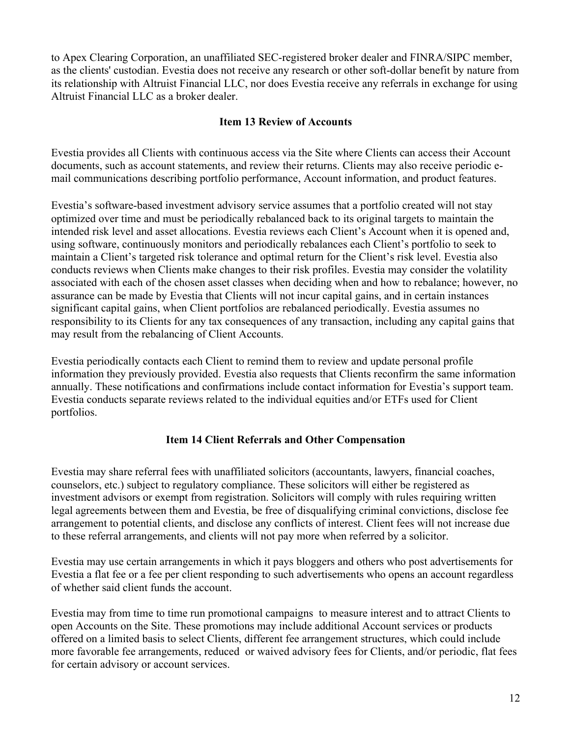to Apex Clearing Corporation, an unaffiliated SEC-registered broker dealer and FINRA/SIPC member, as the clients' custodian. Evestia does not receive any research or other soft-dollar benefit by nature from its relationship with Altruist Financial LLC, nor does Evestia receive any referrals in exchange for using Altruist Financial LLC as a broker dealer.

## **Item 13 Review of Accounts**

Evestia provides all Clients with continuous access via the Site where Clients can access their Account documents, such as account statements, and review their returns. Clients may also receive periodic email communications describing portfolio performance, Account information, and product features.

Evestia's software-based investment advisory service assumes that a portfolio created will not stay optimized over time and must be periodically rebalanced back to its original targets to maintain the intended risk level and asset allocations. Evestia reviews each Client's Account when it is opened and, using software, continuously monitors and periodically rebalances each Client's portfolio to seek to maintain a Client's targeted risk tolerance and optimal return for the Client's risk level. Evestia also conducts reviews when Clients make changes to their risk profiles. Evestia may consider the volatility associated with each of the chosen asset classes when deciding when and how to rebalance; however, no assurance can be made by Evestia that Clients will not incur capital gains, and in certain instances significant capital gains, when Client portfolios are rebalanced periodically. Evestia assumes no responsibility to its Clients for any tax consequences of any transaction, including any capital gains that may result from the rebalancing of Client Accounts.

Evestia periodically contacts each Client to remind them to review and update personal profile information they previously provided. Evestia also requests that Clients reconfirm the same information annually. These notifications and confirmations include contact information for Evestia's support team. Evestia conducts separate reviews related to the individual equities and/or ETFs used for Client portfolios.

# **Item 14 Client Referrals and Other Compensation**

Evestia may share referral fees with unaffiliated solicitors (accountants, lawyers, financial coaches, counselors, etc.) subject to regulatory compliance. These solicitors will either be registered as investment advisors or exempt from registration. Solicitors will comply with rules requiring written legal agreements between them and Evestia, be free of disqualifying criminal convictions, disclose fee arrangement to potential clients, and disclose any conflicts of interest. Client fees will not increase due to these referral arrangements, and clients will not pay more when referred by a solicitor.

Evestia may use certain arrangements in which it pays bloggers and others who post advertisements for Evestia a flat fee or a fee per client responding to such advertisements who opens an account regardless of whether said client funds the account.

Evestia may from time to time run promotional campaigns to measure interest and to attract Clients to open Accounts on the Site. These promotions may include additional Account services or products offered on a limited basis to select Clients, different fee arrangement structures, which could include more favorable fee arrangements, reduced or waived advisory fees for Clients, and/or periodic, flat fees for certain advisory or account services.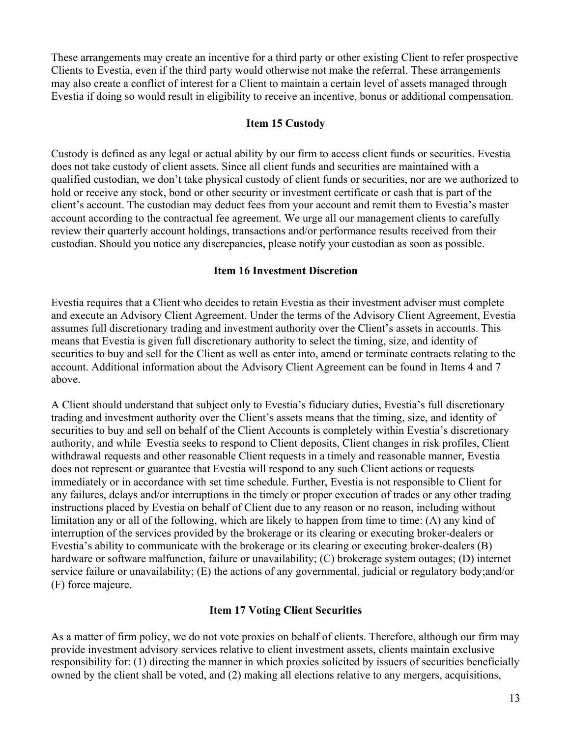These arrangements may create an incentive for a third party or other existing Client to refer prospective Clients to Evestia, even if the third party would otherwise not make the referral. These arrangements may also create a conflict of interest for a Client to maintain a certain level of assets managed through Evestia if doing so would result in eligibility to receive an incentive, bonus or additional compensation.

#### **Item 15 Custody**

Custody is defined as any legal or actual ability by our firm to access client funds or securities. Evestia does not take custody of client assets. Since all client funds and securities are maintained with a qualified custodian, we don't take physical custody of client funds or securities, nor are we authorized to hold or receive any stock, bond or other security or investment certificate or cash that is part of the client's account. The custodian may deduct fees from your account and remit them to Evestia's master account according to the contractual fee agreement. We urge all our management clients to carefully review their quarterly account holdings, transactions and/or performance results received from their custodian. Should you notice any discrepancies, please notify your custodian as soon as possible.

#### **Item 16 Investment Discretion**

Evestia requires that a Client who decides to retain Evestia as their investment adviser must complete and execute an Advisory Client Agreement. Under the terms of the Advisory Client Agreement, Evestia assumes full discretionary trading and investment authority over the Client's assets in accounts. This means that Evestia is given full discretionary authority to select the timing, size, and identity of securities to buy and sell for the Client as well as enter into, amend or terminate contracts relating to the account. Additional information about the Advisory Client Agreement can be found in Items 4 and 7 above.

A Client should understand that subject only to Evestia's fiduciary duties, Evestia's full discretionary trading and investment authority over the Client's assets means that the timing, size, and identity of securities to buy and sell on behalf of the Client Accounts is completely within Evestia's discretionary authority, and while Evestia seeks to respond to Client deposits, Client changes in risk profiles, Client withdrawal requests and other reasonable Client requests in a timely and reasonable manner, Evestia does not represent or guarantee that Evestia will respond to any such Client actions or requests immediately or in accordance with set time schedule. Further, Evestia is not responsible to Client for any failures, delays and/or interruptions in the timely or proper execution of trades or any other trading instructions placed by Evestia on behalf of Client due to any reason or no reason, including without limitation any or all of the following, which are likely to happen from time to time: (A) any kind of interruption of the services provided by the brokerage or its clearing or executing broker-dealers or Evestia's ability to communicate with the brokerage or its clearing or executing broker-dealers (B) hardware or software malfunction, failure or unavailability; (C) brokerage system outages; (D) internet service failure or unavailability; (E) the actions of any governmental, judicial or regulatory body;and/or (F) force majeure.

## **Item 17 Voting Client Securities**

As a matter of firm policy, we do not vote proxies on behalf of clients. Therefore, although our firm may provide investment advisory services relative to client investment assets, clients maintain exclusive responsibility for: (1) directing the manner in which proxies solicited by issuers of securities beneficially owned by the client shall be voted, and (2) making all elections relative to any mergers, acquisitions,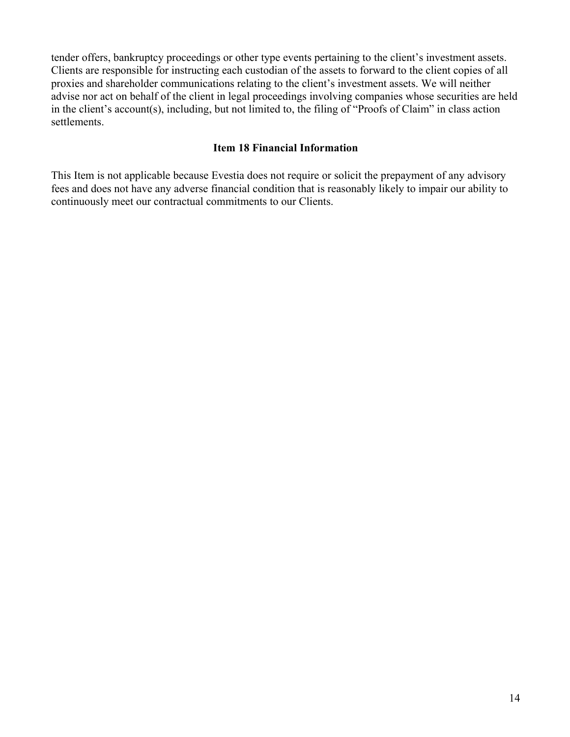tender offers, bankruptcy proceedings or other type events pertaining to the client's investment assets. Clients are responsible for instructing each custodian of the assets to forward to the client copies of all proxies and shareholder communications relating to the client's investment assets. We will neither advise nor act on behalf of the client in legal proceedings involving companies whose securities are held in the client's account(s), including, but not limited to, the filing of "Proofs of Claim" in class action settlements.

## **Item 18 Financial Information**

This Item is not applicable because Evestia does not require or solicit the prepayment of any advisory fees and does not have any adverse financial condition that is reasonably likely to impair our ability to continuously meet our contractual commitments to our Clients.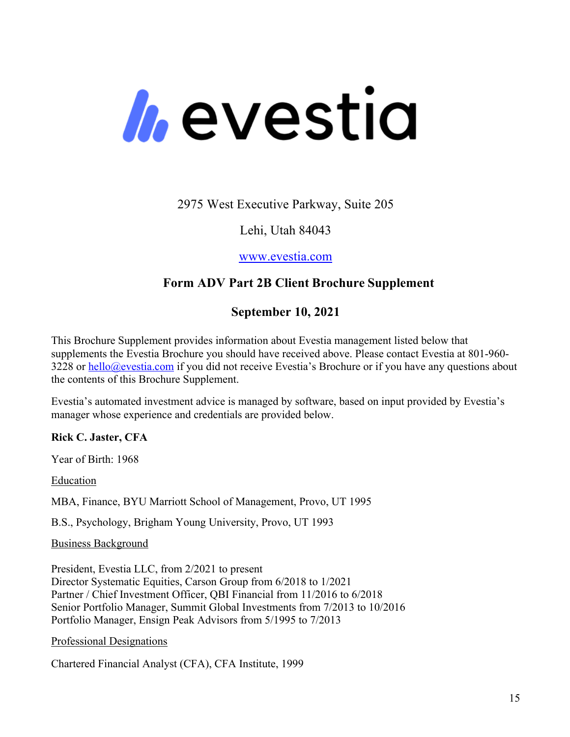# *h*evestia

2975 West Executive Parkway, Suite 205

Lehi, Utah 84043

www.evestia.com

# **Form ADV Part 2B Client Brochure Supplement**

# **September 10, 2021**

This Brochure Supplement provides information about Evestia management listed below that supplements the Evestia Brochure you should have received above. Please contact Evestia at 801-960- 3228 or hello@evestia.com if you did not receive Evestia's Brochure or if you have any questions about the contents of this Brochure Supplement.

Evestia's automated investment advice is managed by software, based on input provided by Evestia's manager whose experience and credentials are provided below.

# **Rick C. Jaster, CFA**

Year of Birth: 1968

Education

MBA, Finance, BYU Marriott School of Management, Provo, UT 1995

B.S., Psychology, Brigham Young University, Provo, UT 1993

Business Background

President, Evestia LLC, from 2/2021 to present Director Systematic Equities, Carson Group from 6/2018 to 1/2021 Partner / Chief Investment Officer, QBI Financial from 11/2016 to 6/2018 Senior Portfolio Manager, Summit Global Investments from 7/2013 to 10/2016 Portfolio Manager, Ensign Peak Advisors from 5/1995 to 7/2013

Professional Designations

Chartered Financial Analyst (CFA), CFA Institute, 1999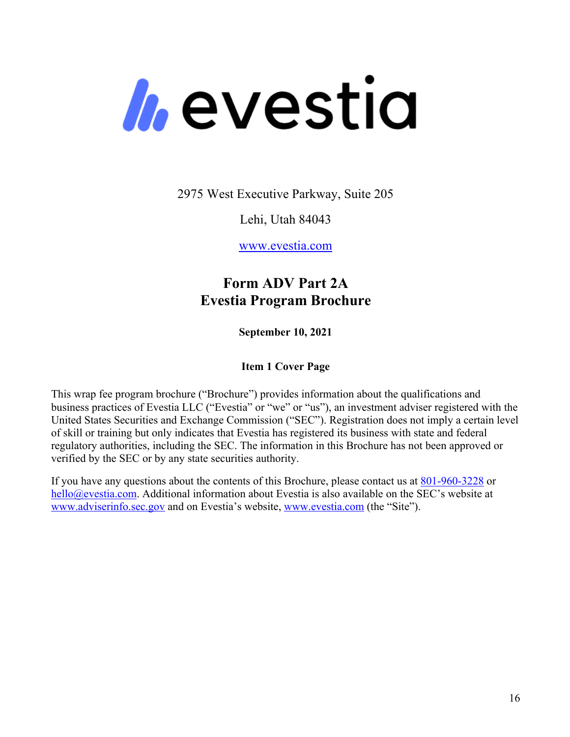

2975 West Executive Parkway, Suite 205

Lehi, Utah 84043

www.evestia.com

# **Form ADV Part 2A Evestia Program Brochure**

**September 10, 2021**

# **Item 1 Cover Page**

This wrap fee program brochure ("Brochure") provides information about the qualifications and business practices of Evestia LLC ("Evestia" or "we" or "us"), an investment adviser registered with the United States Securities and Exchange Commission ("SEC"). Registration does not imply a certain level of skill or training but only indicates that Evestia has registered its business with state and federal regulatory authorities, including the SEC. The information in this Brochure has not been approved or verified by the SEC or by any state securities authority.

If you have any questions about the contents of this Brochure, please contact us at 801-960-3228 or hello@evestia.com. Additional information about Evestia is also available on the SEC's website at www.adviserinfo.sec.gov and on Evestia's website, www.evestia.com (the "Site").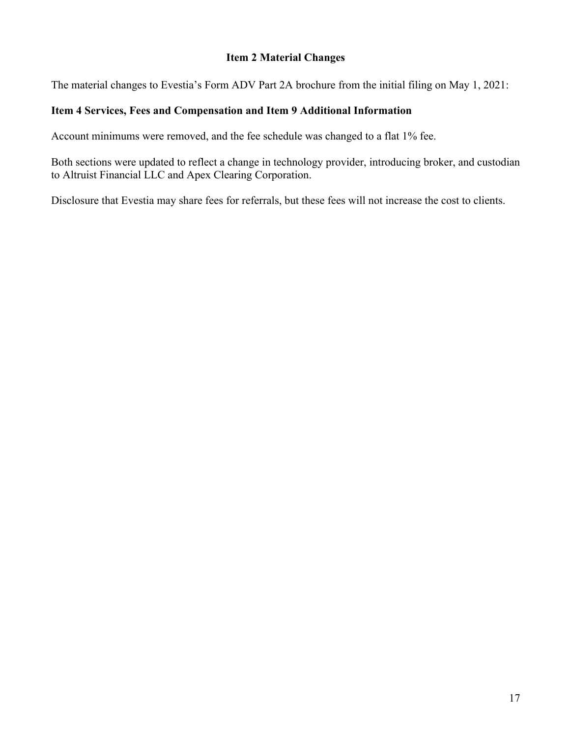## **Item 2 Material Changes**

The material changes to Evestia's Form ADV Part 2A brochure from the initial filing on May 1, 2021:

# **Item 4 Services, Fees and Compensation and Item 9 Additional Information**

Account minimums were removed, and the fee schedule was changed to a flat 1% fee.

Both sections were updated to reflect a change in technology provider, introducing broker, and custodian to Altruist Financial LLC and Apex Clearing Corporation.

Disclosure that Evestia may share fees for referrals, but these fees will not increase the cost to clients.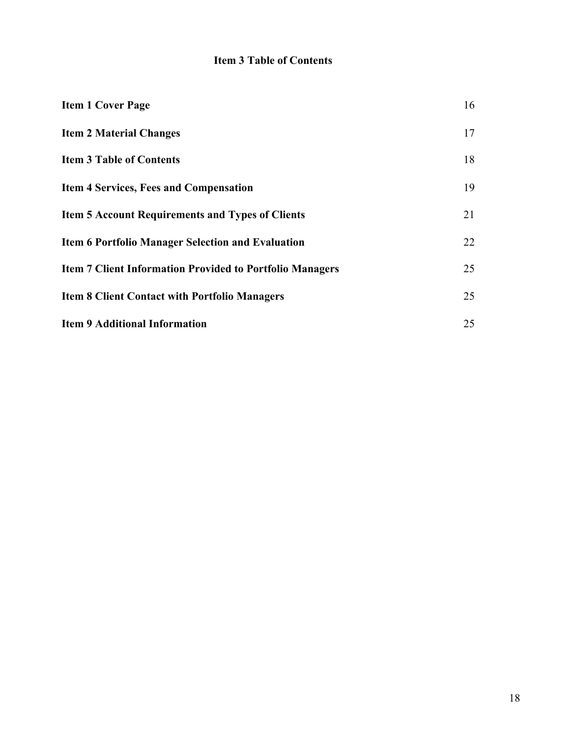# **Item 3 Table of Contents**

| <b>Item 1 Cover Page</b>                                        | 16 |
|-----------------------------------------------------------------|----|
| <b>Item 2 Material Changes</b>                                  | 17 |
| <b>Item 3 Table of Contents</b>                                 | 18 |
| <b>Item 4 Services, Fees and Compensation</b>                   | 19 |
| <b>Item 5 Account Requirements and Types of Clients</b>         | 21 |
| <b>Item 6 Portfolio Manager Selection and Evaluation</b>        | 22 |
| <b>Item 7 Client Information Provided to Portfolio Managers</b> | 25 |
| <b>Item 8 Client Contact with Portfolio Managers</b>            | 25 |
| <b>Item 9 Additional Information</b>                            | 25 |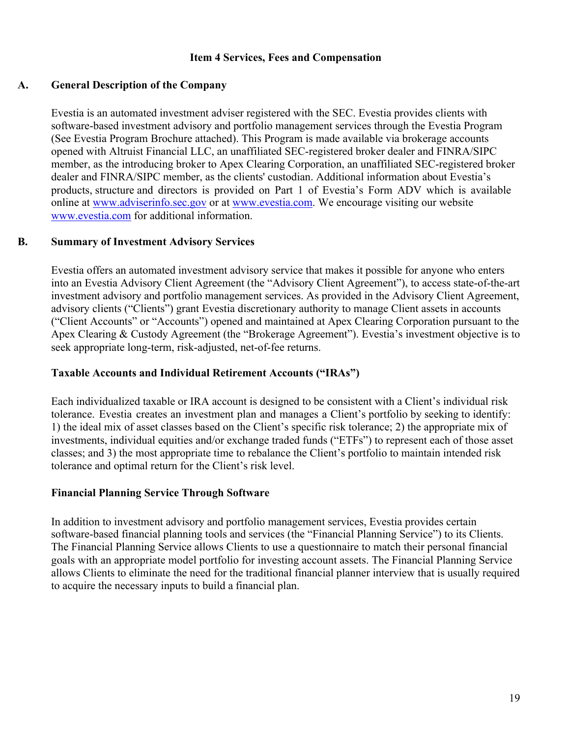## **Item 4 Services, Fees and Compensation**

## **A. General Description of the Company**

Evestia is an automated investment adviser registered with the SEC. Evestia provides clients with software-based investment advisory and portfolio management services through the Evestia Program (See Evestia Program Brochure attached). This Program is made available via brokerage accounts opened with Altruist Financial LLC, an unaffiliated SEC-registered broker dealer and FINRA/SIPC member, as the introducing broker to Apex Clearing Corporation, an unaffiliated SEC-registered broker dealer and FINRA/SIPC member, as the clients' custodian. Additional information about Evestia's products, structure and directors is provided on Part 1 of Evestia's Form ADV which is available online at www.adviserinfo.sec.gov or at www.evestia.com. We encourage visiting our website www.evestia.com for additional information.

## **B. Summary of Investment Advisory Services**

Evestia offers an automated investment advisory service that makes it possible for anyone who enters into an Evestia Advisory Client Agreement (the "Advisory Client Agreement"), to access state-of-the-art investment advisory and portfolio management services. As provided in the Advisory Client Agreement, advisory clients ("Clients") grant Evestia discretionary authority to manage Client assets in accounts ("Client Accounts" or "Accounts") opened and maintained at Apex Clearing Corporation pursuant to the Apex Clearing & Custody Agreement (the "Brokerage Agreement"). Evestia's investment objective is to seek appropriate long-term, risk-adjusted, net-of-fee returns.

## **Taxable Accounts and Individual Retirement Accounts ("IRAs")**

Each individualized taxable or IRA account is designed to be consistent with a Client's individual risk tolerance. Evestia creates an investment plan and manages a Client's portfolio by seeking to identify: 1) the ideal mix of asset classes based on the Client's specific risk tolerance; 2) the appropriate mix of investments, individual equities and/or exchange traded funds ("ETFs") to represent each of those asset classes; and 3) the most appropriate time to rebalance the Client's portfolio to maintain intended risk tolerance and optimal return for the Client's risk level.

## **Financial Planning Service Through Software**

In addition to investment advisory and portfolio management services, Evestia provides certain software-based financial planning tools and services (the "Financial Planning Service") to its Clients. The Financial Planning Service allows Clients to use a questionnaire to match their personal financial goals with an appropriate model portfolio for investing account assets. The Financial Planning Service allows Clients to eliminate the need for the traditional financial planner interview that is usually required to acquire the necessary inputs to build a financial plan.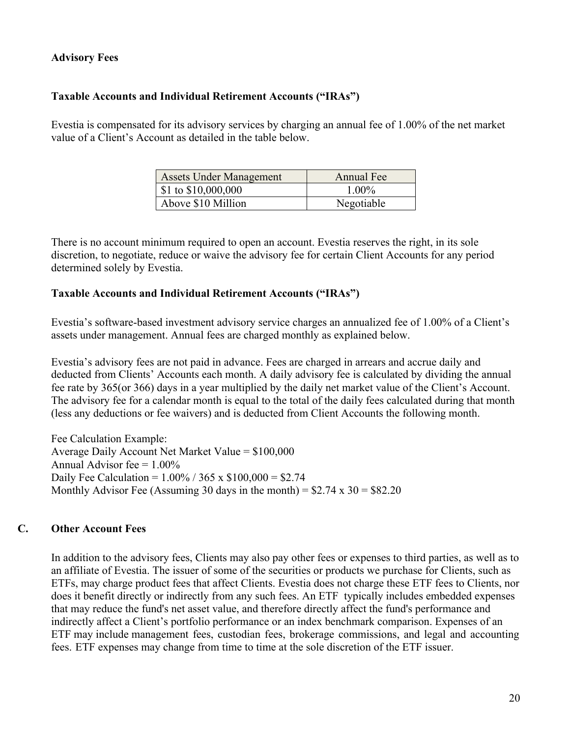# **Advisory Fees**

## **Taxable Accounts and Individual Retirement Accounts ("IRAs")**

Evestia is compensated for its advisory services by charging an annual fee of 1.00% of the net market value of a Client's Account as detailed in the table below.

| <b>Assets Under Management</b> | Annual Fee |
|--------------------------------|------------|
| \$1 to \$10,000,000            | $1.00\%$   |
| Above \$10 Million             | Negotiable |

There is no account minimum required to open an account. Evestia reserves the right, in its sole discretion, to negotiate, reduce or waive the advisory fee for certain Client Accounts for any period determined solely by Evestia.

## **Taxable Accounts and Individual Retirement Accounts ("IRAs")**

Evestia's software-based investment advisory service charges an annualized fee of 1.00% of a Client's assets under management. Annual fees are charged monthly as explained below.

Evestia's advisory fees are not paid in advance. Fees are charged in arrears and accrue daily and deducted from Clients' Accounts each month. A daily advisory fee is calculated by dividing the annual fee rate by 365(or 366) days in a year multiplied by the daily net market value of the Client's Account. The advisory fee for a calendar month is equal to the total of the daily fees calculated during that month (less any deductions or fee waivers) and is deducted from Client Accounts the following month.

Fee Calculation Example: Average Daily Account Net Market Value = \$100,000 Annual Advisor fee  $= 1.00\%$ Daily Fee Calculation =  $1.00\%$  / 365 x \$100,000 = \$2.74 Monthly Advisor Fee (Assuming 30 days in the month) =  $$2.74 \times 30 = $82.20$ 

# **C. Other Account Fees**

In addition to the advisory fees, Clients may also pay other fees or expenses to third parties, as well as to an affiliate of Evestia. The issuer of some of the securities or products we purchase for Clients, such as ETFs, may charge product fees that affect Clients. Evestia does not charge these ETF fees to Clients, nor does it benefit directly or indirectly from any such fees. An ETF typically includes embedded expenses that may reduce the fund's net asset value, and therefore directly affect the fund's performance and indirectly affect a Client's portfolio performance or an index benchmark comparison. Expenses of an ETF may include management fees, custodian fees, brokerage commissions, and legal and accounting fees. ETF expenses may change from time to time at the sole discretion of the ETF issuer.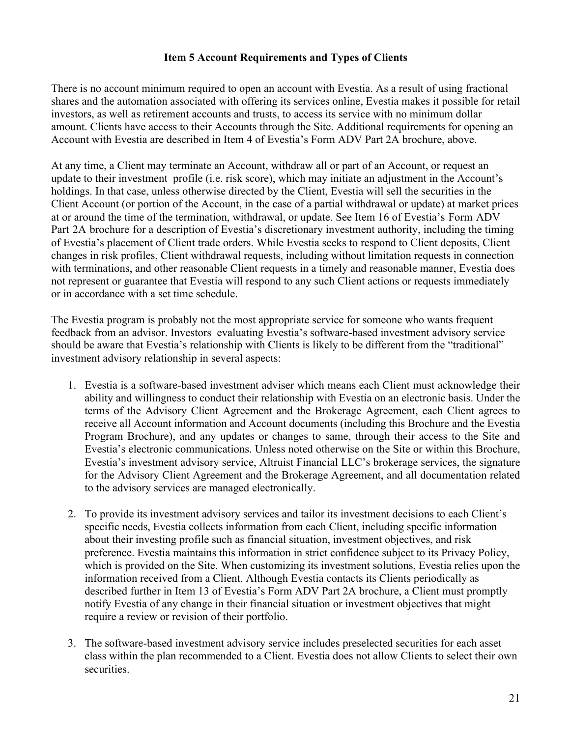## **Item 5 Account Requirements and Types of Clients**

There is no account minimum required to open an account with Evestia. As a result of using fractional shares and the automation associated with offering its services online, Evestia makes it possible for retail investors, as well as retirement accounts and trusts, to access its service with no minimum dollar amount. Clients have access to their Accounts through the Site. Additional requirements for opening an Account with Evestia are described in Item 4 of Evestia's Form ADV Part 2A brochure, above.

At any time, a Client may terminate an Account, withdraw all or part of an Account, or request an update to their investment profile (i.e. risk score), which may initiate an adjustment in the Account's holdings. In that case, unless otherwise directed by the Client, Evestia will sell the securities in the Client Account (or portion of the Account, in the case of a partial withdrawal or update) at market prices at or around the time of the termination, withdrawal, or update. See Item 16 of Evestia's Form ADV Part 2A brochure for a description of Evestia's discretionary investment authority, including the timing of Evestia's placement of Client trade orders. While Evestia seeks to respond to Client deposits, Client changes in risk profiles, Client withdrawal requests, including without limitation requests in connection with terminations, and other reasonable Client requests in a timely and reasonable manner, Evestia does not represent or guarantee that Evestia will respond to any such Client actions or requests immediately or in accordance with a set time schedule.

The Evestia program is probably not the most appropriate service for someone who wants frequent feedback from an advisor. Investors evaluating Evestia's software-based investment advisory service should be aware that Evestia's relationship with Clients is likely to be different from the "traditional" investment advisory relationship in several aspects:

- 1. Evestia is a software-based investment adviser which means each Client must acknowledge their ability and willingness to conduct their relationship with Evestia on an electronic basis. Under the terms of the Advisory Client Agreement and the Brokerage Agreement, each Client agrees to receive all Account information and Account documents (including this Brochure and the Evestia Program Brochure), and any updates or changes to same, through their access to the Site and Evestia's electronic communications. Unless noted otherwise on the Site or within this Brochure, Evestia's investment advisory service, Altruist Financial LLC's brokerage services, the signature for the Advisory Client Agreement and the Brokerage Agreement, and all documentation related to the advisory services are managed electronically.
- 2. To provide its investment advisory services and tailor its investment decisions to each Client's specific needs, Evestia collects information from each Client, including specific information about their investing profile such as financial situation, investment objectives, and risk preference. Evestia maintains this information in strict confidence subject to its Privacy Policy, which is provided on the Site. When customizing its investment solutions, Evestia relies upon the information received from a Client. Although Evestia contacts its Clients periodically as described further in Item 13 of Evestia's Form ADV Part 2A brochure, a Client must promptly notify Evestia of any change in their financial situation or investment objectives that might require a review or revision of their portfolio.
- 3. The software-based investment advisory service includes preselected securities for each asset class within the plan recommended to a Client. Evestia does not allow Clients to select their own securities.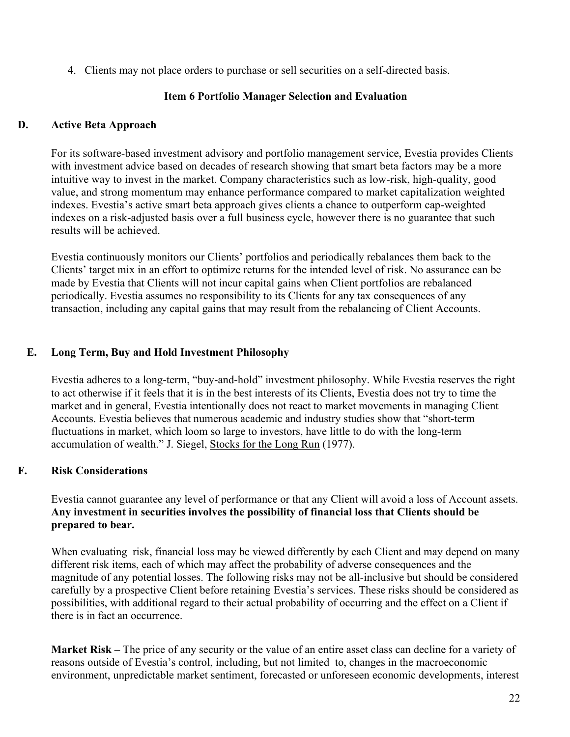4. Clients may not place orders to purchase or sell securities on a self-directed basis.

# **Item 6 Portfolio Manager Selection and Evaluation**

## **D. Active Beta Approach**

For its software-based investment advisory and portfolio management service, Evestia provides Clients with investment advice based on decades of research showing that smart beta factors may be a more intuitive way to invest in the market. Company characteristics such as low-risk, high-quality, good value, and strong momentum may enhance performance compared to market capitalization weighted indexes. Evestia's active smart beta approach gives clients a chance to outperform cap-weighted indexes on a risk-adjusted basis over a full business cycle, however there is no guarantee that such results will be achieved.

Evestia continuously monitors our Clients' portfolios and periodically rebalances them back to the Clients' target mix in an effort to optimize returns for the intended level of risk. No assurance can be made by Evestia that Clients will not incur capital gains when Client portfolios are rebalanced periodically. Evestia assumes no responsibility to its Clients for any tax consequences of any transaction, including any capital gains that may result from the rebalancing of Client Accounts.

## **E. Long Term, Buy and Hold Investment Philosophy**

Evestia adheres to a long-term, "buy-and-hold" investment philosophy. While Evestia reserves the right to act otherwise if it feels that it is in the best interests of its Clients, Evestia does not try to time the market and in general, Evestia intentionally does not react to market movements in managing Client Accounts. Evestia believes that numerous academic and industry studies show that "short-term fluctuations in market, which loom so large to investors, have little to do with the long-term accumulation of wealth." J. Siegel, Stocks for the Long Run (1977).

# **F. Risk Considerations**

Evestia cannot guarantee any level of performance or that any Client will avoid a loss of Account assets. **Any investment in securities involves the possibility of financial loss that Clients should be prepared to bear.**

When evaluating risk, financial loss may be viewed differently by each Client and may depend on many different risk items, each of which may affect the probability of adverse consequences and the magnitude of any potential losses. The following risks may not be all-inclusive but should be considered carefully by a prospective Client before retaining Evestia's services. These risks should be considered as possibilities, with additional regard to their actual probability of occurring and the effect on a Client if there is in fact an occurrence.

**Market Risk –** The price of any security or the value of an entire asset class can decline for a variety of reasons outside of Evestia's control, including, but not limited to, changes in the macroeconomic environment, unpredictable market sentiment, forecasted or unforeseen economic developments, interest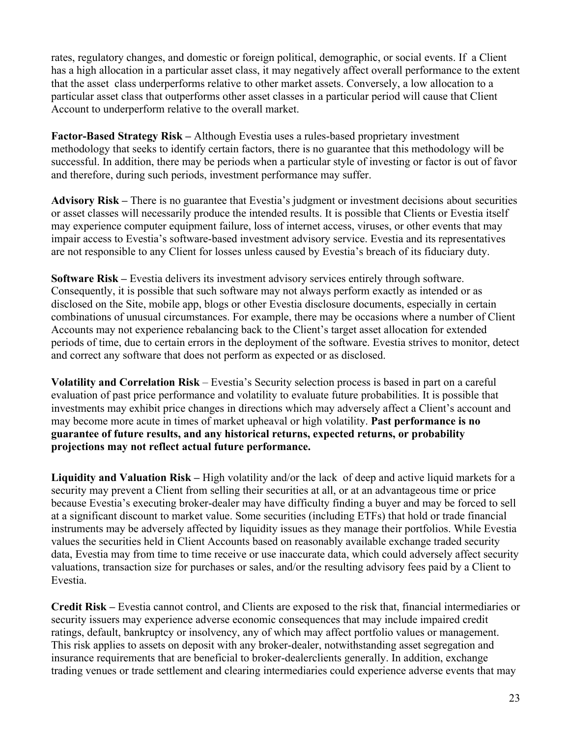rates, regulatory changes, and domestic or foreign political, demographic, or social events. If a Client has a high allocation in a particular asset class, it may negatively affect overall performance to the extent that the asset class underperforms relative to other market assets. Conversely, a low allocation to a particular asset class that outperforms other asset classes in a particular period will cause that Client Account to underperform relative to the overall market.

**Factor-Based Strategy Risk –** Although Evestia uses a rules-based proprietary investment methodology that seeks to identify certain factors, there is no guarantee that this methodology will be successful. In addition, there may be periods when a particular style of investing or factor is out of favor and therefore, during such periods, investment performance may suffer.

**Advisory Risk –** There is no guarantee that Evestia's judgment or investment decisions about securities or asset classes will necessarily produce the intended results. It is possible that Clients or Evestia itself may experience computer equipment failure, loss of internet access, viruses, or other events that may impair access to Evestia's software-based investment advisory service. Evestia and its representatives are not responsible to any Client for losses unless caused by Evestia's breach of its fiduciary duty.

**Software Risk –** Evestia delivers its investment advisory services entirely through software. Consequently, it is possible that such software may not always perform exactly as intended or as disclosed on the Site, mobile app, blogs or other Evestia disclosure documents, especially in certain combinations of unusual circumstances. For example, there may be occasions where a number of Client Accounts may not experience rebalancing back to the Client's target asset allocation for extended periods of time, due to certain errors in the deployment of the software. Evestia strives to monitor, detect and correct any software that does not perform as expected or as disclosed.

**Volatility and Correlation Risk** – Evestia's Security selection process is based in part on a careful evaluation of past price performance and volatility to evaluate future probabilities. It is possible that investments may exhibit price changes in directions which may adversely affect a Client's account and may become more acute in times of market upheaval or high volatility. **Past performance is no guarantee of future results, and any historical returns, expected returns, or probability projections may not reflect actual future performance.**

**Liquidity and Valuation Risk –** High volatility and/or the lack of deep and active liquid markets for a security may prevent a Client from selling their securities at all, or at an advantageous time or price because Evestia's executing broker-dealer may have difficulty finding a buyer and may be forced to sell at a significant discount to market value. Some securities (including ETFs) that hold or trade financial instruments may be adversely affected by liquidity issues as they manage their portfolios. While Evestia values the securities held in Client Accounts based on reasonably available exchange traded security data, Evestia may from time to time receive or use inaccurate data, which could adversely affect security valuations, transaction size for purchases or sales, and/or the resulting advisory fees paid by a Client to Evestia.

**Credit Risk –** Evestia cannot control, and Clients are exposed to the risk that, financial intermediaries or security issuers may experience adverse economic consequences that may include impaired credit ratings, default, bankruptcy or insolvency, any of which may affect portfolio values or management. This risk applies to assets on deposit with any broker-dealer, notwithstanding asset segregation and insurance requirements that are beneficial to broker-dealerclients generally. In addition, exchange trading venues or trade settlement and clearing intermediaries could experience adverse events that may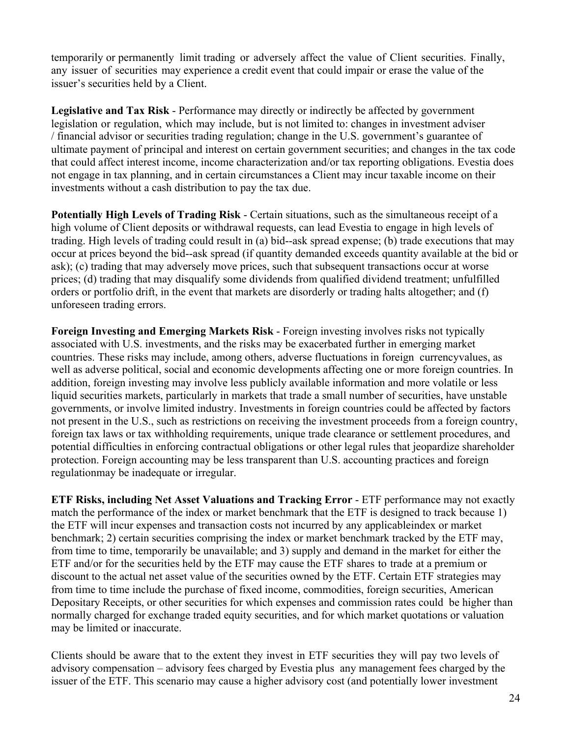temporarily or permanently limit trading or adversely affect the value of Client securities. Finally, any issuer of securities may experience a credit event that could impair or erase the value of the issuer's securities held by a Client.

**Legislative and Tax Risk** - Performance may directly or indirectly be affected by government legislation or regulation, which may include, but is not limited to: changes in investment adviser / financial advisor or securities trading regulation; change in the U.S. government's guarantee of ultimate payment of principal and interest on certain government securities; and changes in the tax code that could affect interest income, income characterization and/or tax reporting obligations. Evestia does not engage in tax planning, and in certain circumstances a Client may incur taxable income on their investments without a cash distribution to pay the tax due.

**Potentially High Levels of Trading Risk** - Certain situations, such as the simultaneous receipt of a high volume of Client deposits or withdrawal requests, can lead Evestia to engage in high levels of trading. High levels of trading could result in (a) bid--ask spread expense; (b) trade executions that may occur at prices beyond the bid--ask spread (if quantity demanded exceeds quantity available at the bid or ask); (c) trading that may adversely move prices, such that subsequent transactions occur at worse prices; (d) trading that may disqualify some dividends from qualified dividend treatment; unfulfilled orders or portfolio drift, in the event that markets are disorderly or trading halts altogether; and (f) unforeseen trading errors.

**Foreign Investing and Emerging Markets Risk** - Foreign investing involves risks not typically associated with U.S. investments, and the risks may be exacerbated further in emerging market countries. These risks may include, among others, adverse fluctuations in foreign currencyvalues, as well as adverse political, social and economic developments affecting one or more foreign countries. In addition, foreign investing may involve less publicly available information and more volatile or less liquid securities markets, particularly in markets that trade a small number of securities, have unstable governments, or involve limited industry. Investments in foreign countries could be affected by factors not present in the U.S., such as restrictions on receiving the investment proceeds from a foreign country, foreign tax laws or tax withholding requirements, unique trade clearance or settlement procedures, and potential difficulties in enforcing contractual obligations or other legal rules that jeopardize shareholder protection. Foreign accounting may be less transparent than U.S. accounting practices and foreign regulationmay be inadequate or irregular.

**ETF Risks, including Net Asset Valuations and Tracking Error** - ETF performance may not exactly match the performance of the index or market benchmark that the ETF is designed to track because 1) the ETF will incur expenses and transaction costs not incurred by any applicableindex or market benchmark; 2) certain securities comprising the index or market benchmark tracked by the ETF may, from time to time, temporarily be unavailable; and 3) supply and demand in the market for either the ETF and/or for the securities held by the ETF may cause the ETF shares to trade at a premium or discount to the actual net asset value of the securities owned by the ETF. Certain ETF strategies may from time to time include the purchase of fixed income, commodities, foreign securities, American Depositary Receipts, or other securities for which expenses and commission rates could be higher than normally charged for exchange traded equity securities, and for which market quotations or valuation may be limited or inaccurate.

Clients should be aware that to the extent they invest in ETF securities they will pay two levels of advisory compensation – advisory fees charged by Evestia plus any management fees charged by the issuer of the ETF. This scenario may cause a higher advisory cost (and potentially lower investment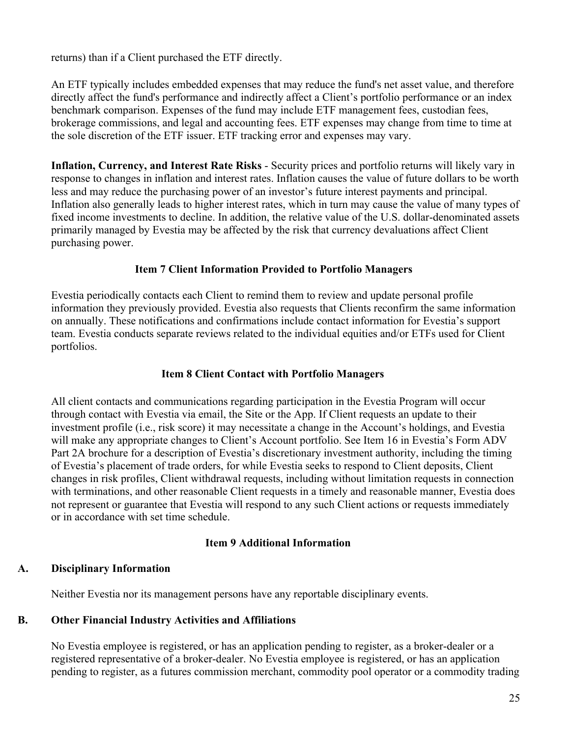returns) than if a Client purchased the ETF directly.

An ETF typically includes embedded expenses that may reduce the fund's net asset value, and therefore directly affect the fund's performance and indirectly affect a Client's portfolio performance or an index benchmark comparison. Expenses of the fund may include ETF management fees, custodian fees, brokerage commissions, and legal and accounting fees. ETF expenses may change from time to time at the sole discretion of the ETF issuer. ETF tracking error and expenses may vary.

**Inflation, Currency, and Interest Rate Risks** - Security prices and portfolio returns will likely vary in response to changes in inflation and interest rates. Inflation causes the value of future dollars to be worth less and may reduce the purchasing power of an investor's future interest payments and principal. Inflation also generally leads to higher interest rates, which in turn may cause the value of many types of fixed income investments to decline. In addition, the relative value of the U.S. dollar-denominated assets primarily managed by Evestia may be affected by the risk that currency devaluations affect Client purchasing power.

## **Item 7 Client Information Provided to Portfolio Managers**

Evestia periodically contacts each Client to remind them to review and update personal profile information they previously provided. Evestia also requests that Clients reconfirm the same information on annually. These notifications and confirmations include contact information for Evestia's support team. Evestia conducts separate reviews related to the individual equities and/or ETFs used for Client portfolios.

# **Item 8 Client Contact with Portfolio Managers**

All client contacts and communications regarding participation in the Evestia Program will occur through contact with Evestia via email, the Site or the App. If Client requests an update to their investment profile (i.e., risk score) it may necessitate a change in the Account's holdings, and Evestia will make any appropriate changes to Client's Account portfolio. See Item 16 in Evestia's Form ADV Part 2A brochure for a description of Evestia's discretionary investment authority, including the timing of Evestia's placement of trade orders, for while Evestia seeks to respond to Client deposits, Client changes in risk profiles, Client withdrawal requests, including without limitation requests in connection with terminations, and other reasonable Client requests in a timely and reasonable manner, Evestia does not represent or guarantee that Evestia will respond to any such Client actions or requests immediately or in accordance with set time schedule.

## **Item 9 Additional Information**

## **A. Disciplinary Information**

Neither Evestia nor its management persons have any reportable disciplinary events.

## **B. Other Financial Industry Activities and Affiliations**

No Evestia employee is registered, or has an application pending to register, as a broker‐dealer or a registered representative of a broker‐dealer. No Evestia employee is registered, or has an application pending to register, as a futures commission merchant, commodity pool operator or a commodity trading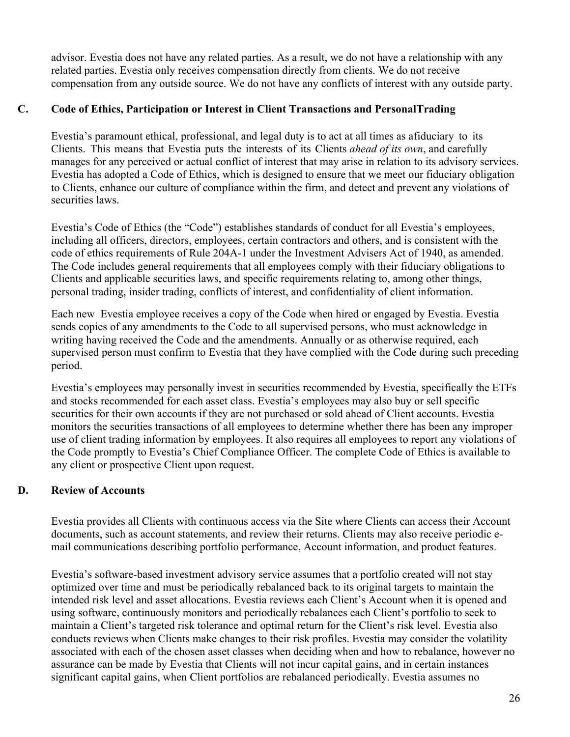advisor. Evestia does not have any related parties. As a result, we do not have a relationship with any related parties. Evestia only receives compensation directly from clients. We do not receive compensation from any outside source. We do not have any conflicts of interest with any outside party.

# **C. Code of Ethics, Participation or Interest in Client Transactions and PersonalTrading**

Evestia's paramount ethical, professional, and legal duty is to act at all times as afiduciary to its Clients. This means that Evestia puts the interests of its Clients *ahead of its own*, and carefully manages for any perceived or actual conflict of interest that may arise in relation to its advisory services. Evestia has adopted a Code of Ethics, which is designed to ensure that we meet our fiduciary obligation to Clients, enhance our culture of compliance within the firm, and detect and prevent any violations of securities laws.

Evestia's Code of Ethics (the "Code") establishes standards of conduct for all Evestia's employees, including all officers, directors, employees, certain contractors and others, and is consistent with the code of ethics requirements of Rule 204A-1 under the Investment Advisers Act of 1940, as amended. The Code includes general requirements that all employees comply with their fiduciary obligations to Clients and applicable securities laws, and specific requirements relating to, among other things, personal trading, insider trading, conflicts of interest, and confidentiality of client information.

Each new Evestia employee receives a copy of the Code when hired or engaged by Evestia. Evestia sends copies of any amendments to the Code to all supervised persons, who must acknowledge in writing having received the Code and the amendments. Annually or as otherwise required, each supervised person must confirm to Evestia that they have complied with the Code during such preceding period.

Evestia's employees may personally invest in securities recommended by Evestia, specifically the ETFs and stocks recommended for each asset class. Evestia's employees may also buy or sell specific securities for their own accounts if they are not purchased or sold ahead of Client accounts. Evestia monitors the securities transactions of all employees to determine whether there has been any improper use of client trading information by employees. It also requires all employees to report any violations of the Code promptly to Evestia's Chief Compliance Officer. The complete Code of Ethics is available to any client or prospective Client upon request.

# **D. Review of Accounts**

Evestia provides all Clients with continuous access via the Site where Clients can access their Account documents, such as account statements, and review their returns. Clients may also receive periodic email communications describing portfolio performance, Account information, and product features.

Evestia's software-based investment advisory service assumes that a portfolio created will not stay optimized over time and must be periodically rebalanced back to its original targets to maintain the intended risk level and asset allocations. Evestia reviews each Client's Account when it is opened and using software, continuously monitors and periodically rebalances each Client's portfolio to seek to maintain a Client's targeted risk tolerance and optimal return for the Client's risk level. Evestia also conducts reviews when Clients make changes to their risk profiles. Evestia may consider the volatility associated with each of the chosen asset classes when deciding when and how to rebalance, however no assurance can be made by Evestia that Clients will not incur capital gains, and in certain instances significant capital gains, when Client portfolios are rebalanced periodically. Evestia assumes no